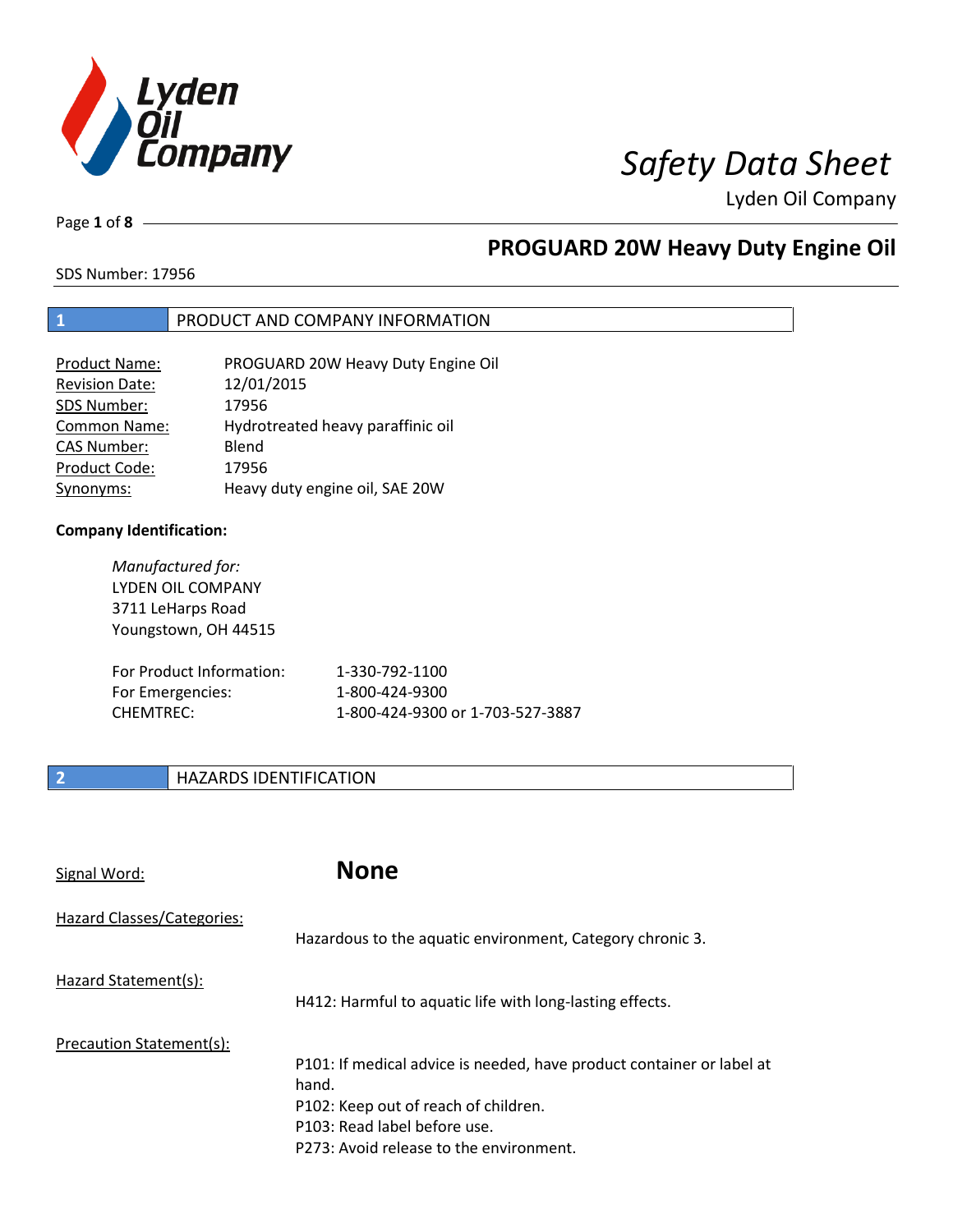

Page **1** of **8**

# **PROGUARD 20W Heavy Duty Engine Oil**

SDS Number: 17956

### **1** PRODUCT AND COMPANY INFORMATION

| <b>Product Name:</b>  | PROGUARD 20W Heavy Duty Engine Oil |
|-----------------------|------------------------------------|
| <b>Revision Date:</b> | 12/01/2015                         |
| SDS Number:           | 17956                              |
| Common Name:          | Hydrotreated heavy paraffinic oil  |
| <b>CAS Number:</b>    | Blend                              |
| Product Code:         | 17956                              |
| Synonyms:             | Heavy duty engine oil, SAE 20W     |

### **Company Identification:**

| Manufactured for:        |                                  |
|--------------------------|----------------------------------|
| LYDEN OIL COMPANY        |                                  |
| 3711 LeHarps Road        |                                  |
| Youngstown, OH 44515     |                                  |
|                          |                                  |
| For Product Information: | 1-330-792-1100                   |
| For Emergencies:         | 1-800-424-9300                   |
| CHFMTRFC:                | 1-800-424-9300 or 1-703-527-3887 |
|                          |                                  |

### **2 HAZARDS IDENTIFICATION**

| Signal Word:               | <b>None</b>                                                                                                                                                                                       |
|----------------------------|---------------------------------------------------------------------------------------------------------------------------------------------------------------------------------------------------|
| Hazard Classes/Categories: | Hazardous to the aquatic environment, Category chronic 3.                                                                                                                                         |
| Hazard Statement(s):       | H412: Harmful to aquatic life with long-lasting effects.                                                                                                                                          |
| Precaution Statement(s):   | P101: If medical advice is needed, have product container or label at<br>hand.<br>P102: Keep out of reach of children.<br>P103: Read label before use.<br>P273: Avoid release to the environment. |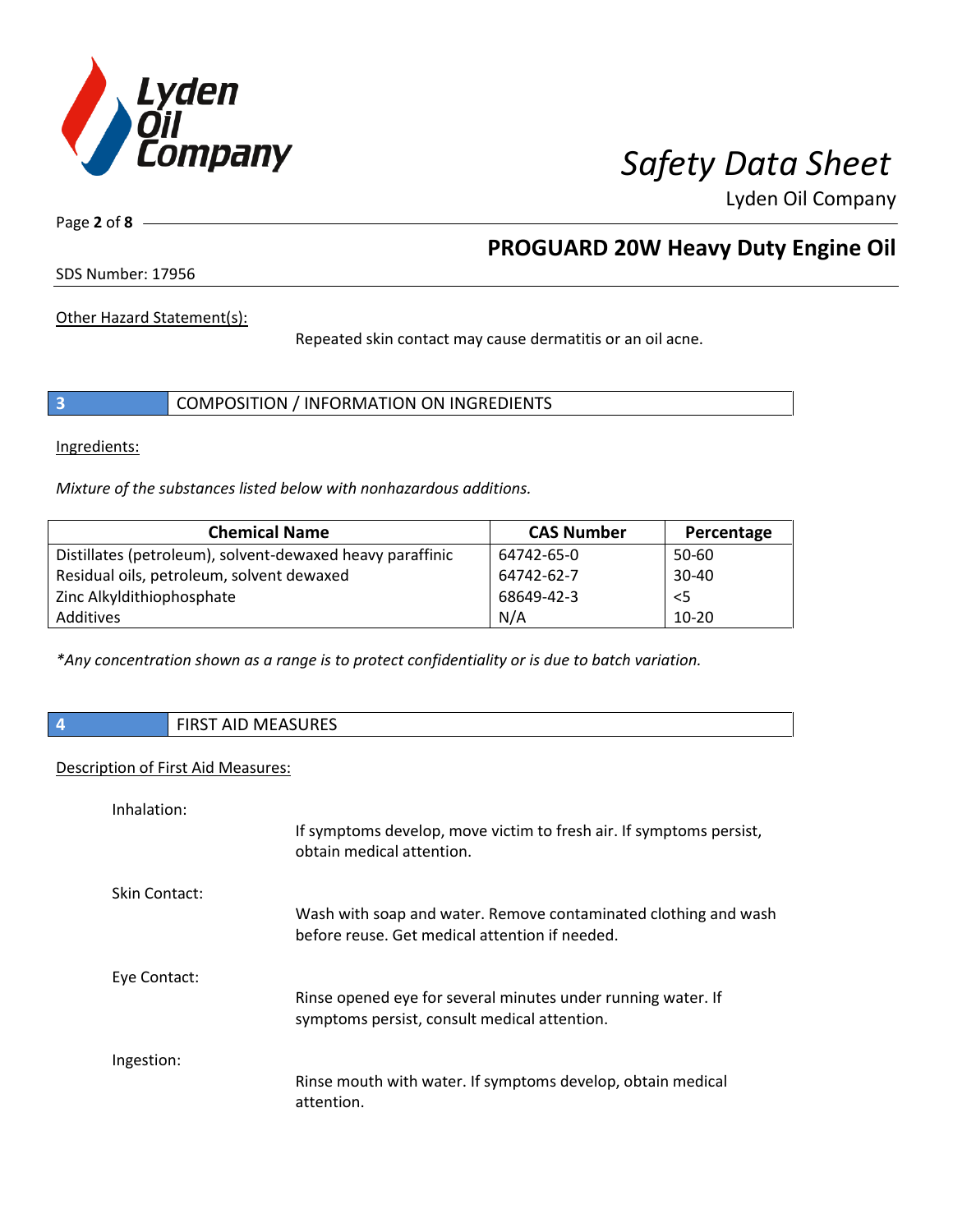

Page **2** of **8**

# **PROGUARD 20W Heavy Duty Engine Oil**

SDS Number: 17956

Other Hazard Statement(s):

Repeated skin contact may cause dermatitis or an oil acne.

|  | COMPOSITION / INFORMATION ON INGREDIENTS |
|--|------------------------------------------|
|--|------------------------------------------|

Ingredients:

*Mixture of the substances listed below with nonhazardous additions.*

| <b>Chemical Name</b>                                      | <b>CAS Number</b> | Percentage |
|-----------------------------------------------------------|-------------------|------------|
| Distillates (petroleum), solvent-dewaxed heavy paraffinic | 64742-65-0        | 50-60      |
| Residual oils, petroleum, solvent dewaxed                 | 64742-62-7        | $30 - 40$  |
| Zinc Alkyldithiophosphate                                 | 68649-42-3        | $<$ 5      |
| Additives                                                 | N/A               | $10 - 20$  |

*\*Any concentration shown as a range is to protect confidentiality or is due to batch variation.*

**4** FIRST AID MEASURES

### Description of First Aid Measures:

| Inhalation:   |                                                                                                                   |
|---------------|-------------------------------------------------------------------------------------------------------------------|
|               | If symptoms develop, move victim to fresh air. If symptoms persist,<br>obtain medical attention.                  |
| Skin Contact: |                                                                                                                   |
|               | Wash with soap and water. Remove contaminated clothing and wash<br>before reuse. Get medical attention if needed. |
| Eye Contact:  |                                                                                                                   |
|               | Rinse opened eye for several minutes under running water. If<br>symptoms persist, consult medical attention.      |
| Ingestion:    |                                                                                                                   |
|               | Rinse mouth with water. If symptoms develop, obtain medical<br>attention.                                         |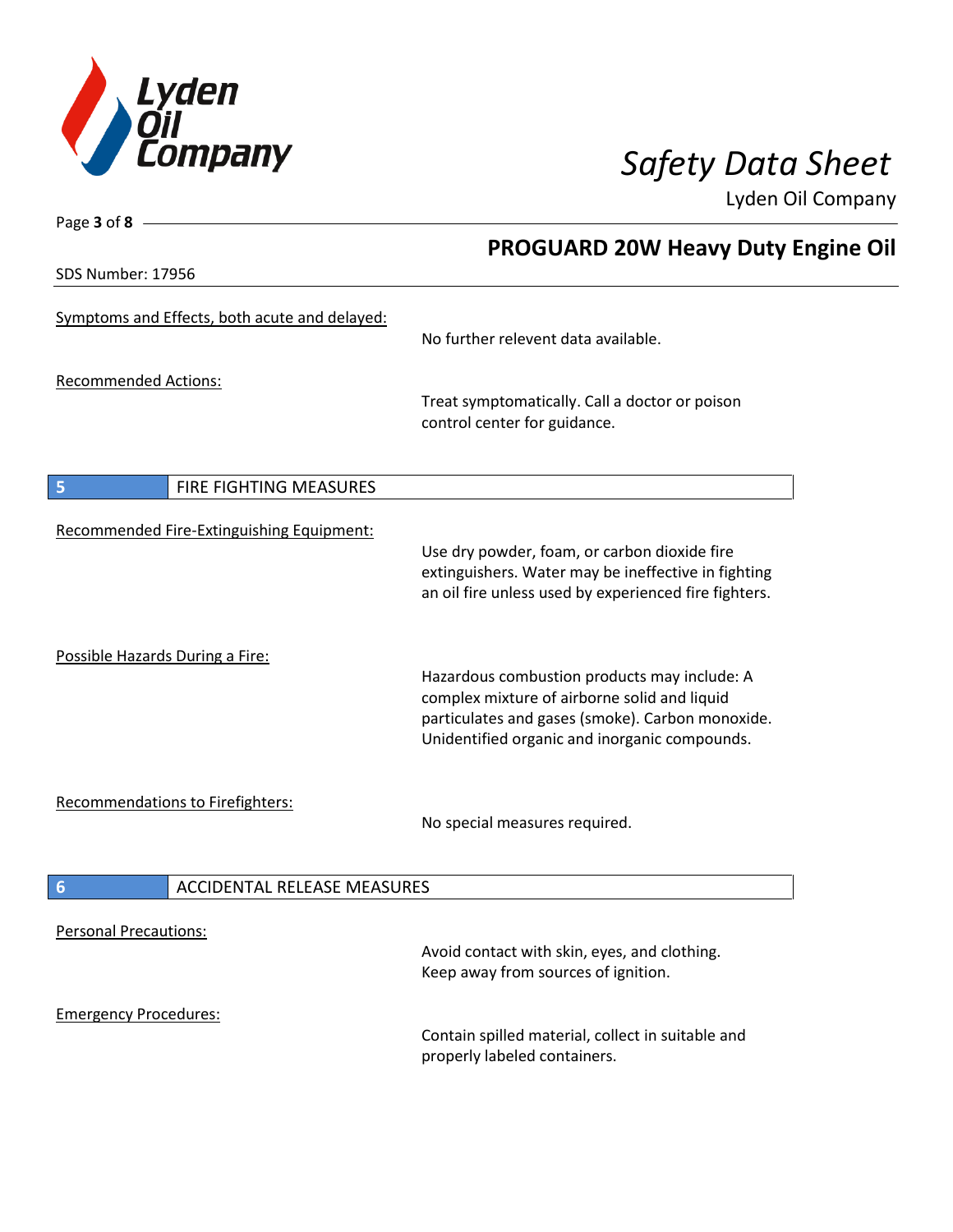

SDS Number: 17956

Page **3** of **8**

# **PROGUARD 20W Heavy Duty Engine Oil**

| Symptoms and Effects, both acute and delayed: | No further relevent data available.                                                                                                                                                               |
|-----------------------------------------------|---------------------------------------------------------------------------------------------------------------------------------------------------------------------------------------------------|
| <b>Recommended Actions:</b>                   | Treat symptomatically. Call a doctor or poison<br>control center for guidance.                                                                                                                    |
| FIRE FIGHTING MEASURES<br>5                   |                                                                                                                                                                                                   |
| Recommended Fire-Extinguishing Equipment:     | Use dry powder, foam, or carbon dioxide fire<br>extinguishers. Water may be ineffective in fighting<br>an oil fire unless used by experienced fire fighters.                                      |
| Possible Hazards During a Fire:               | Hazardous combustion products may include: A<br>complex mixture of airborne solid and liquid<br>particulates and gases (smoke). Carbon monoxide.<br>Unidentified organic and inorganic compounds. |
| <b>Recommendations to Firefighters:</b>       | No special measures required.                                                                                                                                                                     |
| <b>ACCIDENTAL RELEASE MEASURES</b><br>6       |                                                                                                                                                                                                   |
| <b>Personal Precautions:</b>                  | Avoid contact with skin, eyes, and clothing.<br>Keep away from sources of ignition.                                                                                                               |
| <b>Emergency Procedures:</b>                  | Contain spilled material, collect in suitable and<br>properly labeled containers.                                                                                                                 |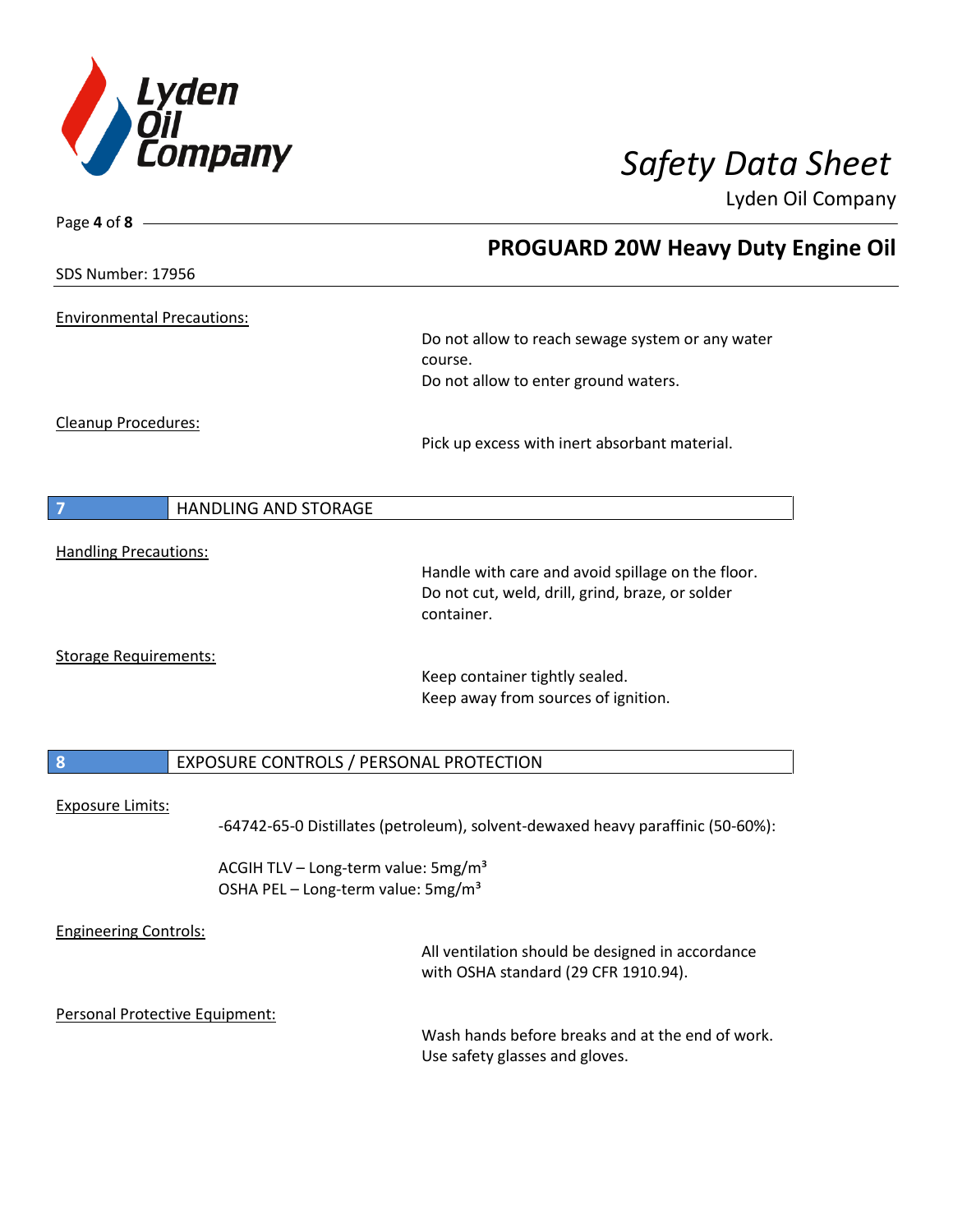

| Page 4 of 8 -                     |                                                                                                   |
|-----------------------------------|---------------------------------------------------------------------------------------------------|
|                                   | <b>PROGUARD 20W Heavy Duty Engine Oil</b>                                                         |
| <b>SDS Number: 17956</b>          |                                                                                                   |
| <b>Environmental Precautions:</b> |                                                                                                   |
|                                   | Do not allow to reach sewage system or any water                                                  |
|                                   | course.                                                                                           |
|                                   | Do not allow to enter ground waters.                                                              |
| Cleanup Procedures:               |                                                                                                   |
|                                   | Pick up excess with inert absorbant material.                                                     |
| <b>HANDLING AND STORAGE</b><br>7  |                                                                                                   |
|                                   |                                                                                                   |
| <b>Handling Precautions:</b>      | Handle with care and avoid spillage on the floor.                                                 |
|                                   | Do not cut, weld, drill, grind, braze, or solder<br>container.                                    |
| <b>Storage Requirements:</b>      | Keep container tightly sealed.                                                                    |
|                                   | Keep away from sources of ignition.                                                               |
| 8                                 | EXPOSURE CONTROLS / PERSONAL PROTECTION                                                           |
|                                   |                                                                                                   |
| <b>Exposure Limits:</b>           | -64742-65-0 Distillates (petroleum), solvent-dewaxed heavy paraffinic (50-60%):                   |
|                                   | ACGIH TLV - Long-term value: 5mg/m <sup>3</sup><br>OSHA PEL - Long-term value: 5mg/m <sup>3</sup> |
| <b>Engineering Controls:</b>      |                                                                                                   |
|                                   | All ventilation should be designed in accordance<br>with OSHA standard (29 CFR 1910.94).          |
| Personal Protective Equipment:    |                                                                                                   |
|                                   | Wash hands before breaks and at the end of work.<br>Use safety glasses and gloves.                |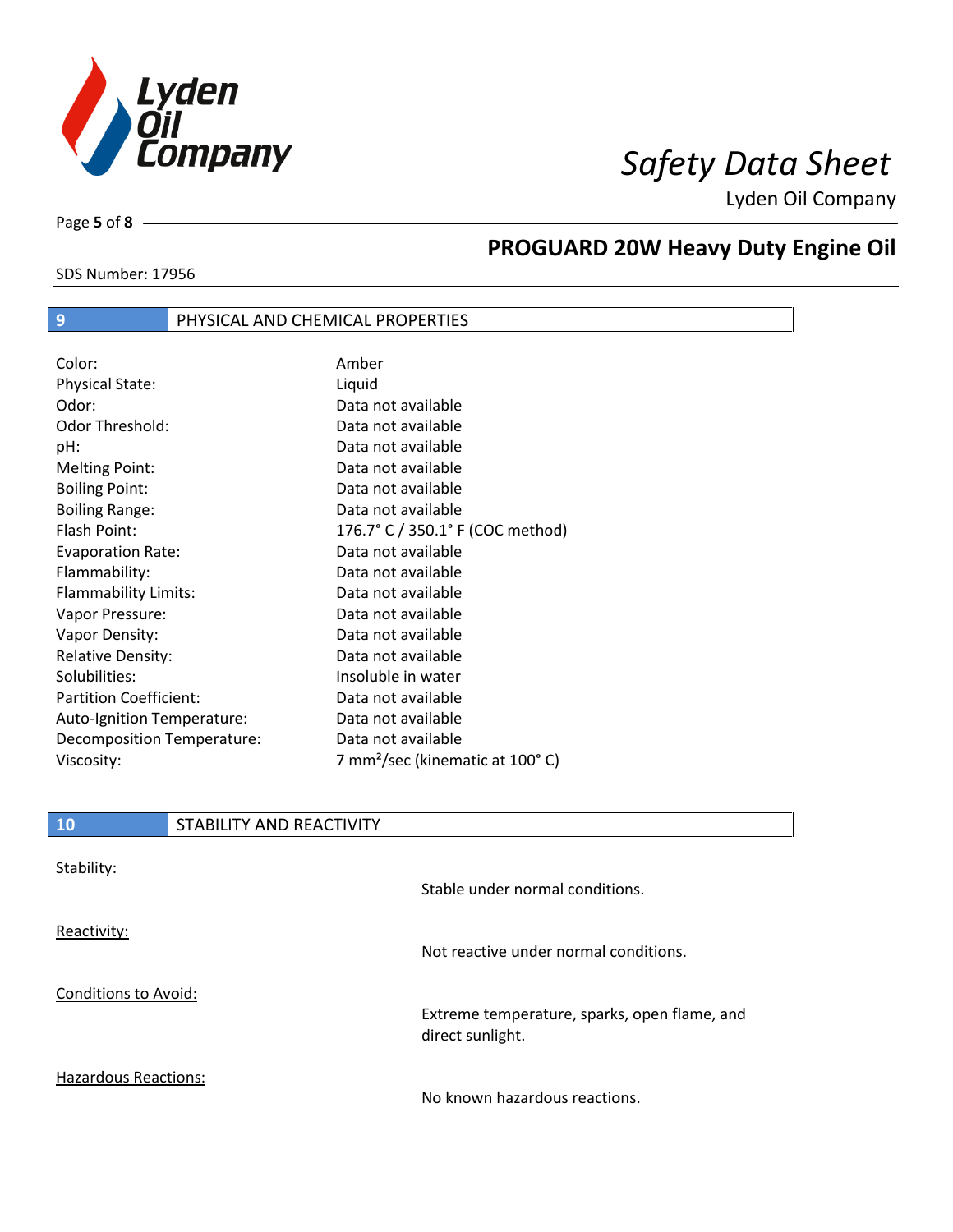

Page **5** of **8**

# **PROGUARD 20W Heavy Duty Engine Oil**

### SDS Number: 17956

## **9** PHYSICAL AND CHEMICAL PROPERTIES

| Color:                        | Amber                                       |
|-------------------------------|---------------------------------------------|
| <b>Physical State:</b>        | Liquid                                      |
| Odor:                         | Data not available                          |
| Odor Threshold:               | Data not available                          |
| pH:                           | Data not available                          |
| <b>Melting Point:</b>         | Data not available                          |
| <b>Boiling Point:</b>         | Data not available                          |
| <b>Boiling Range:</b>         | Data not available                          |
| Flash Point:                  | 176.7° C / 350.1° F (COC method)            |
| <b>Evaporation Rate:</b>      | Data not available                          |
| Flammability:                 | Data not available                          |
| Flammability Limits:          | Data not available                          |
| Vapor Pressure:               | Data not available                          |
| Vapor Density:                | Data not available                          |
| <b>Relative Density:</b>      | Data not available                          |
| Solubilities:                 | Insoluble in water                          |
| <b>Partition Coefficient:</b> | Data not available                          |
| Auto-Ignition Temperature:    | Data not available                          |
| Decomposition Temperature:    | Data not available                          |
| Viscosity:                    | 7 mm <sup>2</sup> /sec (kinematic at 100°C) |

| <b>10</b>                   | STABILITY AND REACTIVITY |                                                                  |
|-----------------------------|--------------------------|------------------------------------------------------------------|
| Stability:                  |                          |                                                                  |
|                             |                          | Stable under normal conditions.                                  |
| Reactivity:                 |                          | Not reactive under normal conditions.                            |
|                             |                          |                                                                  |
| <b>Conditions to Avoid:</b> |                          | Extreme temperature, sparks, open flame, and<br>direct sunlight. |
| <b>Hazardous Reactions:</b> |                          |                                                                  |

No known hazardous reactions.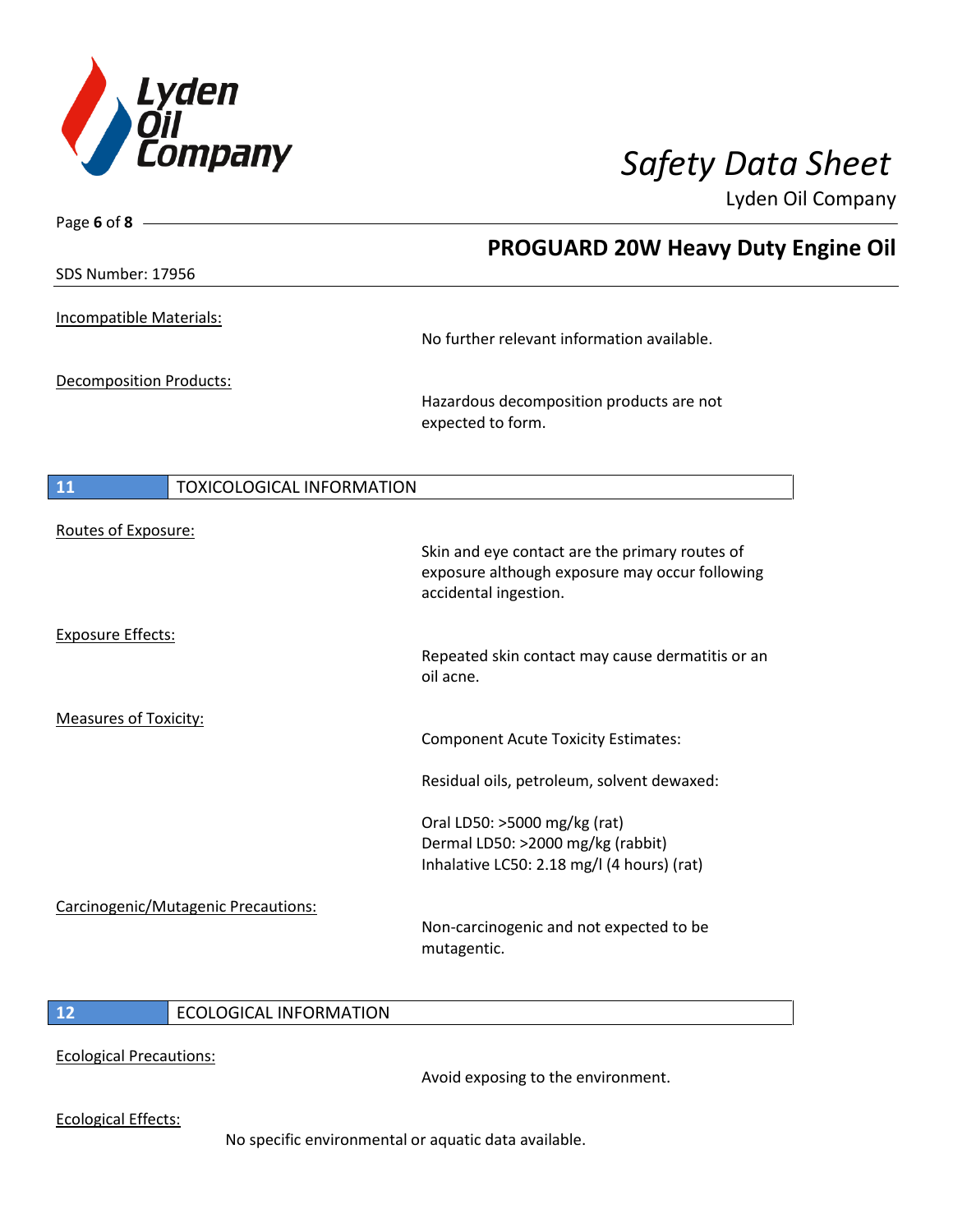

Page **6** of **8**

Lyden Oil Company

|                                        | <b>PROGUARD 20W Heavy Duty Engine Oil</b>                                                                                 |
|----------------------------------------|---------------------------------------------------------------------------------------------------------------------------|
| SDS Number: 17956                      |                                                                                                                           |
| Incompatible Materials:                | No further relevant information available.                                                                                |
| <b>Decomposition Products:</b>         | Hazardous decomposition products are not<br>expected to form.                                                             |
| 11<br><b>TOXICOLOGICAL INFORMATION</b> |                                                                                                                           |
| Routes of Exposure:                    | Skin and eye contact are the primary routes of<br>exposure although exposure may occur following<br>accidental ingestion. |
| <b>Exposure Effects:</b>               | Repeated skin contact may cause dermatitis or an<br>oil acne.                                                             |
| <b>Measures of Toxicity:</b>           | <b>Component Acute Toxicity Estimates:</b>                                                                                |
|                                        | Residual oils, petroleum, solvent dewaxed:                                                                                |
|                                        | Oral LD50: >5000 mg/kg (rat)<br>Dermal LD50: >2000 mg/kg (rabbit)<br>Inhalative LC50: 2.18 mg/l (4 hours) (rat)           |
| Carcinogenic/Mutagenic Precautions:    | Non-carcinogenic and not expected to be<br>mutagentic.                                                                    |

### **12** ECOLOGICAL INFORMATION

Ecological Precautions:

Avoid exposing to the environment.

Ecological Effects:

No specific environmental or aquatic data available.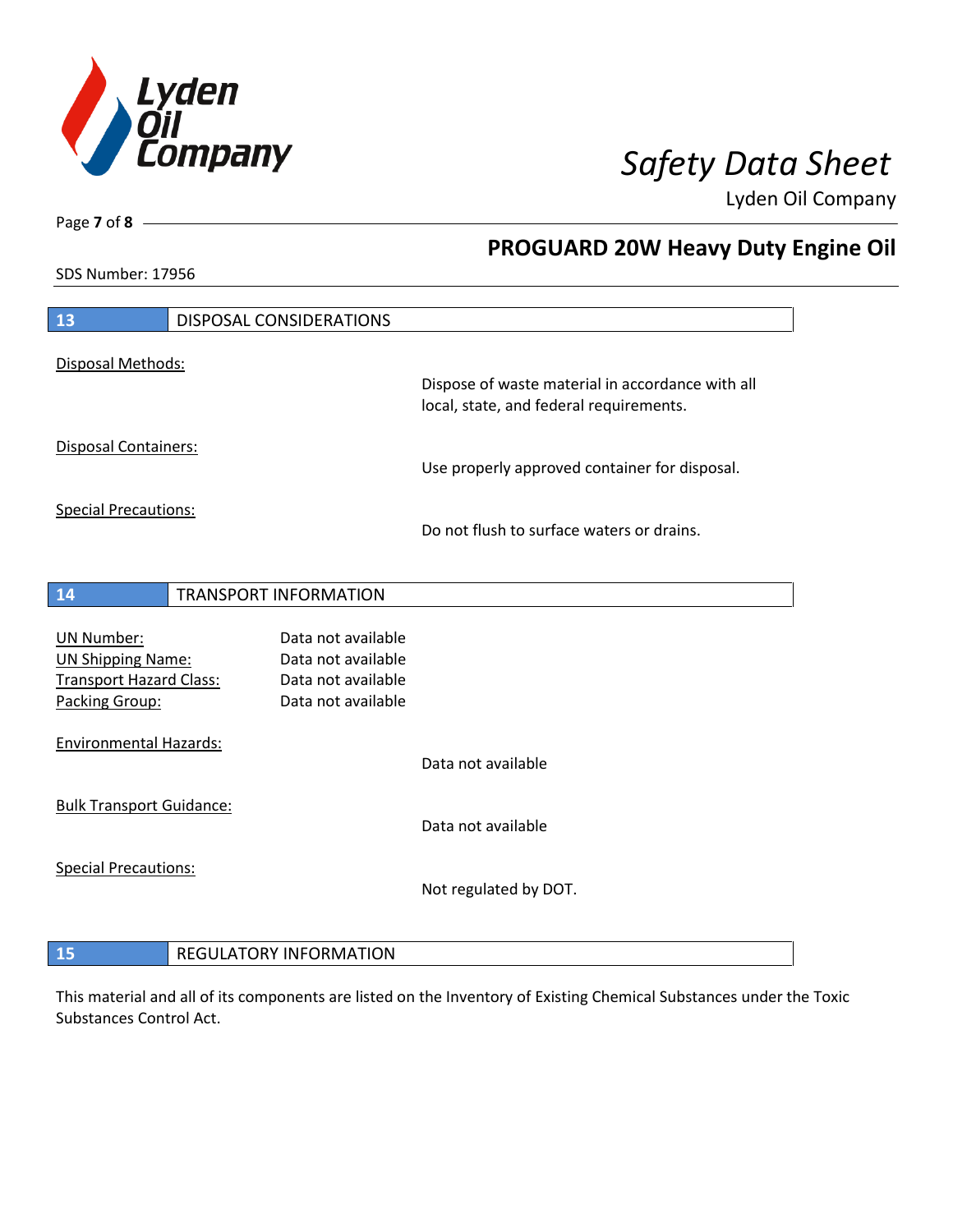

**PROGUARD 20W Heavy Duty Engine Oil**

Lyden Oil Company

SDS Number: 17956

Page **7** of **8**

| 13                                  |  | DISPOSAL CONSIDERATIONS |                                                                                             |
|-------------------------------------|--|-------------------------|---------------------------------------------------------------------------------------------|
| Disposal Methods:                   |  |                         |                                                                                             |
|                                     |  |                         | Dispose of waste material in accordance with all<br>local, state, and federal requirements. |
| Disposal Containers:                |  |                         | Use properly approved container for disposal.                                               |
| <b>Special Precautions:</b>         |  |                         | Do not flush to surface waters or drains.                                                   |
| 14                                  |  | TRANSPORT INFORMATION   |                                                                                             |
| <b>UN Number:</b>                   |  | Data not available      |                                                                                             |
| <b>UN Shipping Name:</b>            |  | Data not available      |                                                                                             |
| <b>Transport Hazard Class:</b>      |  | Data not available      |                                                                                             |
| Packing Group:                      |  | Data not available      |                                                                                             |
| <b>Environmental Hazards:</b>       |  |                         |                                                                                             |
|                                     |  |                         | Data not available                                                                          |
| <b>Bulk Transport Guidance:</b>     |  |                         |                                                                                             |
|                                     |  |                         | Data not available                                                                          |
| <b>Special Precautions:</b>         |  |                         |                                                                                             |
|                                     |  |                         | Not regulated by DOT.                                                                       |
|                                     |  |                         |                                                                                             |
| <b>REGULATORY INFORMATION</b><br>15 |  |                         |                                                                                             |

This material and all of its components are listed on the Inventory of Existing Chemical Substances under the Toxic Substances Control Act.